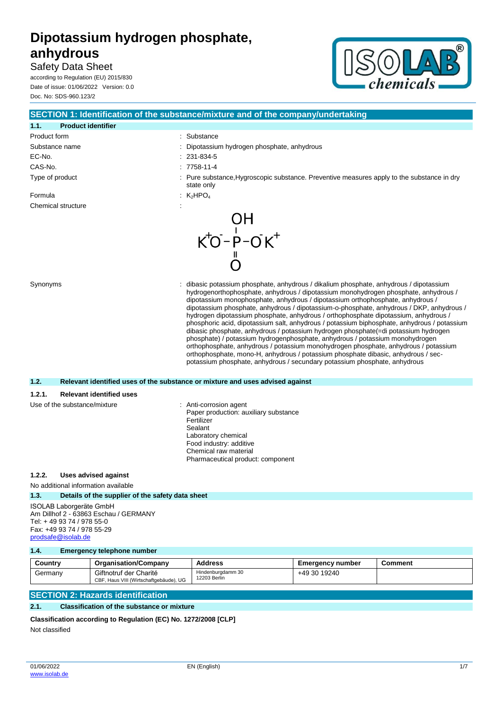# Safety Data Sheet

according to Regulation (EU) 2015/830 Date of issue: 01/06/2022 Version: 0.0 Doc. No: SDS-960.123/2



|                                           | SECTION 1: Identification of the substance/mixture and of the company/undertaking                                                                                                                                                                                                                                                                                                                                                                                                                                                                                                                                                                                                                                                                                                               |  |  |
|-------------------------------------------|-------------------------------------------------------------------------------------------------------------------------------------------------------------------------------------------------------------------------------------------------------------------------------------------------------------------------------------------------------------------------------------------------------------------------------------------------------------------------------------------------------------------------------------------------------------------------------------------------------------------------------------------------------------------------------------------------------------------------------------------------------------------------------------------------|--|--|
| 1.1.<br><b>Product identifier</b>         |                                                                                                                                                                                                                                                                                                                                                                                                                                                                                                                                                                                                                                                                                                                                                                                                 |  |  |
| Product form                              | : Substance                                                                                                                                                                                                                                                                                                                                                                                                                                                                                                                                                                                                                                                                                                                                                                                     |  |  |
| Substance name                            | Dipotassium hydrogen phosphate, anhydrous                                                                                                                                                                                                                                                                                                                                                                                                                                                                                                                                                                                                                                                                                                                                                       |  |  |
| EC-No.                                    | 231-834-5                                                                                                                                                                                                                                                                                                                                                                                                                                                                                                                                                                                                                                                                                                                                                                                       |  |  |
| CAS-No.                                   | $: 7758 - 11 - 4$                                                                                                                                                                                                                                                                                                                                                                                                                                                                                                                                                                                                                                                                                                                                                                               |  |  |
| Type of product                           | Pure substance, Hygroscopic substance. Preventive measures apply to the substance in dry<br>state only                                                                                                                                                                                                                                                                                                                                                                                                                                                                                                                                                                                                                                                                                          |  |  |
| Formula                                   | : $K_2HPO_4$                                                                                                                                                                                                                                                                                                                                                                                                                                                                                                                                                                                                                                                                                                                                                                                    |  |  |
| Chemical structure                        |                                                                                                                                                                                                                                                                                                                                                                                                                                                                                                                                                                                                                                                                                                                                                                                                 |  |  |
| Synonyms                                  | OH<br>$K^+O^-P^-OK^+$<br>dibasic potassium phosphate, anhydrous / dikalium phosphate, anhydrous / dipotassium<br>hydrogenorthophosphate, anhydrous / dipotassium monohydrogen phosphate, anhydrous /                                                                                                                                                                                                                                                                                                                                                                                                                                                                                                                                                                                            |  |  |
|                                           | dipotassium monophosphate, anhydrous / dipotassium orthophosphate, anhydrous /<br>dipotassium phosphate, anhydrous / dipotassium-o-phosphate, anhydrous / DKP, anhydrous /<br>hydrogen dipotassium phosphate, anhydrous / orthophosphate dipotassium, anhydrous /<br>phosphoric acid, dipotassium salt, anhydrous / potassium biphosphate, anhydrous / potassium<br>dibasic phosphate, anhydrous / potassium hydrogen phosphate(=di potassium hydrogen<br>phosphate) / potassium hydrogenphosphate, anhydrous / potassium monohydrogen<br>orthophosphate, anhydrous / potassium monohydrogen phosphate, anhydrous / potassium<br>orthophosphate, mono-H, anhydrous / potassium phosphate dibasic, anhydrous / sec-<br>potassium phosphate, anhydrous / secundary potassium phosphate, anhydrous |  |  |
| 1.2.                                      | Relevant identified uses of the substance or mixture and uses advised against                                                                                                                                                                                                                                                                                                                                                                                                                                                                                                                                                                                                                                                                                                                   |  |  |
| 1.2.1.<br><b>Relevant identified uses</b> |                                                                                                                                                                                                                                                                                                                                                                                                                                                                                                                                                                                                                                                                                                                                                                                                 |  |  |
| Use of the substance/mixture              | : Anti-corrosion agent<br>Paper production: auxiliary substance<br>Fertilizer<br>Sealant<br>Laboratory chemical<br>Food industry: additive<br>Chemical raw material                                                                                                                                                                                                                                                                                                                                                                                                                                                                                                                                                                                                                             |  |  |

### **1.2.2. Uses advised against**

## No additional information available

#### **1.3. Details of the supplier of the safety data sheet**

ISOLAB Laborgeräte GmbH Am Dillhof 2 - 63863 Eschau / GERMANY Tel: + 49 93 74 / 978 55-0 Fax: +49 93 74 / 978 55-29 [prodsafe@isolab.de](mailto:prodsafe@isolab.de)

#### **1.4. Emergency telephone number**

| Country | <b>Organisation/Company</b>                                      | <b>Address</b>                    | <b>Emergency number</b> | Comment |
|---------|------------------------------------------------------------------|-----------------------------------|-------------------------|---------|
| Germany | Giftnotruf der Charité<br>CBF, Haus VIII (Wirtschaftgebäude), UG | Hindenburgdamm 30<br>12203 Berlin | +49 30 19240            |         |

Pharmaceutical product: component

# **SECTION 2: Hazards identification**

#### **2.1. Classification of the substance or mixture**

```
Classification according to Regulation (EC) No. 1272/2008 [CLP]
```
Not classified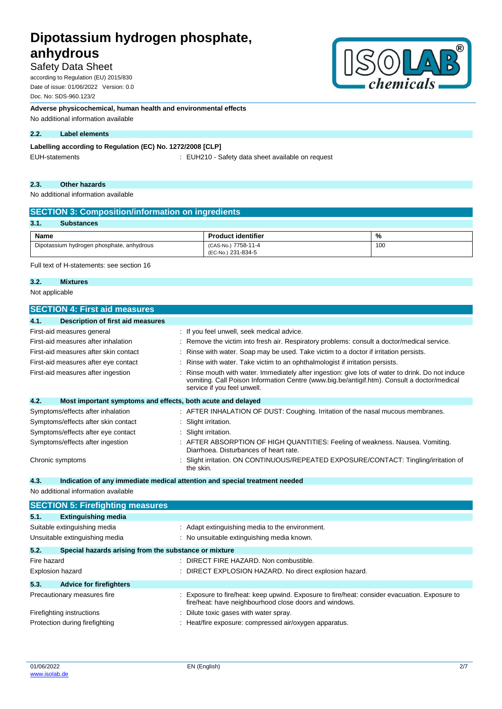# Safety Data Sheet

according to Regulation (EU) 2015/830 Date of issue: 01/06/2022 Version: 0.0 Doc. No: SDS-960.123/2

**Adverse physicochemical, human health and environmental effects**

No additional information available

### **2.2. Label elements**

## **Labelling according to Regulation (EC) No. 1272/2008 [CLP]**

EUH-statements **EUH210** - Safety data sheet available on request

#### **2.3. Other hazards**

No additional information available

| <b>SECTION 3: Composition/information on ingredients</b> |                                           |     |  |  |
|----------------------------------------------------------|-------------------------------------------|-----|--|--|
| 3.1.<br><b>Substances</b>                                |                                           |     |  |  |
| Name<br>%<br><b>Product identifier</b>                   |                                           |     |  |  |
| Dipotassium hydrogen phosphate, anhydrous                | (CAS-No.) 7758-11-4<br>(EC-No.) 231-834-5 | 100 |  |  |

Full text of H-statements: see section 16

## **3.2. Mixtures**

Not applicable

| <b>SECTION 4: First aid measures</b>                                |                                                                                                                                                                                                                               |  |
|---------------------------------------------------------------------|-------------------------------------------------------------------------------------------------------------------------------------------------------------------------------------------------------------------------------|--|
| 4.1.<br><b>Description of first aid measures</b>                    |                                                                                                                                                                                                                               |  |
| First-aid measures general                                          | : If you feel unwell, seek medical advice.                                                                                                                                                                                    |  |
| First-aid measures after inhalation                                 | Remove the victim into fresh air. Respiratory problems: consult a doctor/medical service.                                                                                                                                     |  |
| First-aid measures after skin contact                               | Rinse with water. Soap may be used. Take victim to a doctor if irritation persists.                                                                                                                                           |  |
| First-aid measures after eye contact                                | Rinse with water. Take victim to an ophthalmologist if irritation persists.                                                                                                                                                   |  |
| First-aid measures after ingestion                                  | Rinse mouth with water. Immediately after ingestion: give lots of water to drink. Do not induce<br>vomiting. Call Poison Information Centre (www.big.be/antigif.htm). Consult a doctor/medical<br>service if you feel unwell. |  |
| 4.2.<br>Most important symptoms and effects, both acute and delayed |                                                                                                                                                                                                                               |  |
| Symptoms/effects after inhalation                                   | : AFTER INHALATION OF DUST: Coughing. Irritation of the nasal mucous membranes.                                                                                                                                               |  |
| Symptoms/effects after skin contact                                 | Slight irritation.                                                                                                                                                                                                            |  |
| Symptoms/effects after eye contact                                  | Slight irritation.                                                                                                                                                                                                            |  |
| Symptoms/effects after ingestion                                    | AFTER ABSORPTION OF HIGH QUANTITIES: Feeling of weakness. Nausea. Vomiting.<br>Diarrhoea. Disturbances of heart rate.                                                                                                         |  |
| Chronic symptoms                                                    | Slight irritation. ON CONTINUOUS/REPEATED EXPOSURE/CONTACT: Tingling/irritation of<br>the skin.                                                                                                                               |  |
| 4.3.                                                                | Indication of any immediate medical attention and special treatment needed                                                                                                                                                    |  |
| No additional information available                                 |                                                                                                                                                                                                                               |  |
| <b>SECTION 5: Firefighting measures</b>                             |                                                                                                                                                                                                                               |  |
| 5.1.<br><b>Extinguishing media</b>                                  |                                                                                                                                                                                                                               |  |
| Suitable extinguishing media                                        | : Adapt extinguishing media to the environment.                                                                                                                                                                               |  |
| Unsuitable extinguishing media                                      | : No unsuitable extinguishing media known.                                                                                                                                                                                    |  |
| 5.2.<br>Special hazards arising from the substance or mixture       |                                                                                                                                                                                                                               |  |
| Fire hazard                                                         | DIRECT FIRE HAZARD. Non combustible.                                                                                                                                                                                          |  |
| Explosion hazard                                                    | DIRECT EXPLOSION HAZARD. No direct explosion hazard.                                                                                                                                                                          |  |
| 5.3.<br><b>Advice for firefighters</b>                              |                                                                                                                                                                                                                               |  |
| Precautionary measures fire                                         | Exposure to fire/heat: keep upwind. Exposure to fire/heat: consider evacuation. Exposure to<br>fire/heat: have neighbourhood close doors and windows.                                                                         |  |
| Firefighting instructions                                           | Dilute toxic gases with water spray.                                                                                                                                                                                          |  |

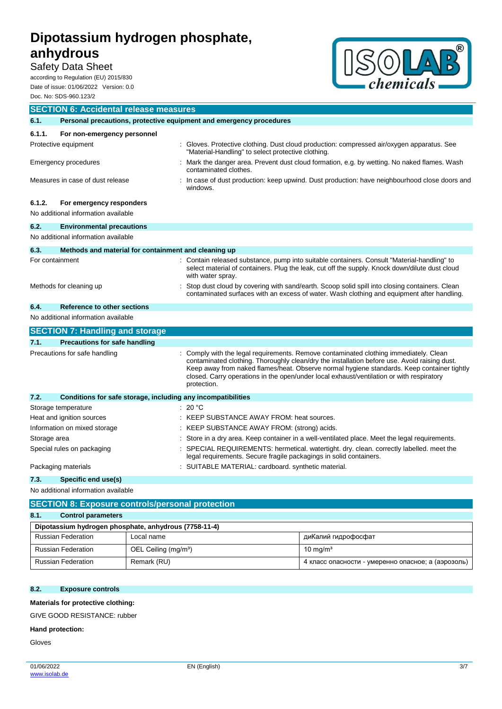# Safety Data Sheet

according to Regulation (EU) 2015/830 Date of issue: 01/06/2022 Version: 0.0 Doc. No: SDS-960.123/2



|                               | <b>SECTION 6: Accidental release measures</b>                       |  |                                                                                                                                                                                                                                                                                                                                                                                              |  |
|-------------------------------|---------------------------------------------------------------------|--|----------------------------------------------------------------------------------------------------------------------------------------------------------------------------------------------------------------------------------------------------------------------------------------------------------------------------------------------------------------------------------------------|--|
| 6.1.                          | Personal precautions, protective equipment and emergency procedures |  |                                                                                                                                                                                                                                                                                                                                                                                              |  |
| 6.1.1.                        | For non-emergency personnel                                         |  |                                                                                                                                                                                                                                                                                                                                                                                              |  |
|                               | Protective equipment                                                |  | Gloves. Protective clothing. Dust cloud production: compressed air/oxygen apparatus. See<br>"Material-Handling" to select protective clothing.                                                                                                                                                                                                                                               |  |
|                               | Emergency procedures                                                |  | Mark the danger area. Prevent dust cloud formation, e.g. by wetting. No naked flames. Wash<br>contaminated clothes.                                                                                                                                                                                                                                                                          |  |
|                               | Measures in case of dust release                                    |  | In case of dust production: keep upwind. Dust production: have neighbourhood close doors and<br>windows.                                                                                                                                                                                                                                                                                     |  |
| 6.1.2.                        | For emergency responders                                            |  |                                                                                                                                                                                                                                                                                                                                                                                              |  |
|                               | No additional information available                                 |  |                                                                                                                                                                                                                                                                                                                                                                                              |  |
| 6.2.                          | <b>Environmental precautions</b>                                    |  |                                                                                                                                                                                                                                                                                                                                                                                              |  |
|                               | No additional information available                                 |  |                                                                                                                                                                                                                                                                                                                                                                                              |  |
| 6.3.                          | Methods and material for containment and cleaning up                |  |                                                                                                                                                                                                                                                                                                                                                                                              |  |
| For containment               |                                                                     |  | : Contain released substance, pump into suitable containers. Consult "Material-handling" to<br>select material of containers. Plug the leak, cut off the supply. Knock down/dilute dust cloud<br>with water spray.                                                                                                                                                                           |  |
|                               | Methods for cleaning up                                             |  | Stop dust cloud by covering with sand/earth. Scoop solid spill into closing containers. Clean<br>contaminated surfaces with an excess of water. Wash clothing and equipment after handling.                                                                                                                                                                                                  |  |
| 6.4.                          | <b>Reference to other sections</b>                                  |  |                                                                                                                                                                                                                                                                                                                                                                                              |  |
|                               | No additional information available                                 |  |                                                                                                                                                                                                                                                                                                                                                                                              |  |
|                               | <b>SECTION 7: Handling and storage</b>                              |  |                                                                                                                                                                                                                                                                                                                                                                                              |  |
| 7.1.                          | <b>Precautions for safe handling</b>                                |  |                                                                                                                                                                                                                                                                                                                                                                                              |  |
| Precautions for safe handling |                                                                     |  | Comply with the legal requirements. Remove contaminated clothing immediately. Clean<br>contaminated clothing. Thoroughly clean/dry the installation before use. Avoid raising dust.<br>Keep away from naked flames/heat. Observe normal hygiene standards. Keep container tightly<br>closed. Carry operations in the open/under local exhaust/ventilation or with respiratory<br>protection. |  |
| 7.2.                          | Conditions for safe storage, including any incompatibilities        |  |                                                                                                                                                                                                                                                                                                                                                                                              |  |
|                               | Storage temperature                                                 |  | : 20 °C                                                                                                                                                                                                                                                                                                                                                                                      |  |
|                               | Heat and ignition sources                                           |  | KEEP SUBSTANCE AWAY FROM: heat sources.                                                                                                                                                                                                                                                                                                                                                      |  |
|                               | Information on mixed storage                                        |  | KEEP SUBSTANCE AWAY FROM: (strong) acids.                                                                                                                                                                                                                                                                                                                                                    |  |
| Storage area                  |                                                                     |  | Store in a dry area. Keep container in a well-ventilated place. Meet the legal requirements.                                                                                                                                                                                                                                                                                                 |  |
|                               | Special rules on packaging                                          |  | SPECIAL REQUIREMENTS: hermetical. watertight. dry. clean. correctly labelled. meet the<br>legal requirements. Secure fragile packagings in solid containers.                                                                                                                                                                                                                                 |  |
|                               | Packaging materials                                                 |  | SUITABLE MATERIAL: cardboard. synthetic material.                                                                                                                                                                                                                                                                                                                                            |  |
| 7.3.                          | Specific end use(s)                                                 |  |                                                                                                                                                                                                                                                                                                                                                                                              |  |

No additional information available

| <b>SECTION 8: Exposure controls/personal protection</b> |                                  |                                                    |  |
|---------------------------------------------------------|----------------------------------|----------------------------------------------------|--|
| 8.1.<br><b>Control parameters</b>                       |                                  |                                                    |  |
| Dipotassium hydrogen phosphate, anhydrous (7758-11-4)   |                                  |                                                    |  |
| <b>Russian Federation</b>                               | Local name                       | диКалий гидрофосфат                                |  |
| <b>Russian Federation</b>                               | OEL Ceiling (mg/m <sup>3</sup> ) | $10 \text{ ma/m}^3$                                |  |
| <b>Russian Federation</b>                               | Remark (RU)                      | 4 класс опасности - умеренно опасное; а (аэрозоль) |  |

### **8.2. Exposure controls**

**Materials for protective clothing:**

GIVE GOOD RESISTANCE: rubber

#### **Hand protection:**

Gloves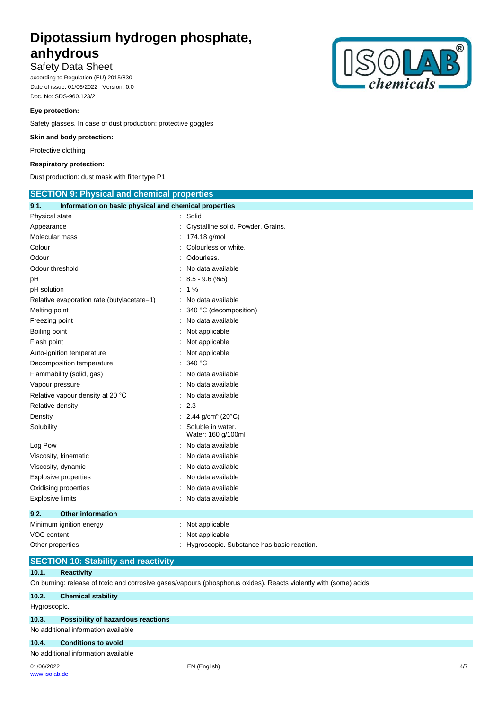## Safety Data Sheet

according to Regulation (EU) 2015/830 Date of issue: 01/06/2022 Version: 0.0 Doc. No: SDS-960.123/2

#### **Eye protection:**

Safety glasses. In case of dust production: protective goggles

#### **Skin and body protection:**

Protective clothing

#### **Respiratory protection:**

Dust production: dust mask with filter type P1



### **SECTION 10: Stability and reactivity**

#### **10.1. Reactivity**

On burning: release of toxic and corrosive gases/vapours (phosphorus oxides). Reacts violently with (some) acids.

| 10.2.        | <b>Chemical stability</b>                |              |     |
|--------------|------------------------------------------|--------------|-----|
| Hygroscopic. |                                          |              |     |
|              | 10.3. Possibility of hazardous reactions |              |     |
|              | No additional information available      |              |     |
| 10.4.        | <b>Conditions to avoid</b>               |              |     |
|              | No additional information available      |              |     |
| 01/06/2022   |                                          | EN (English) | 4/7 |



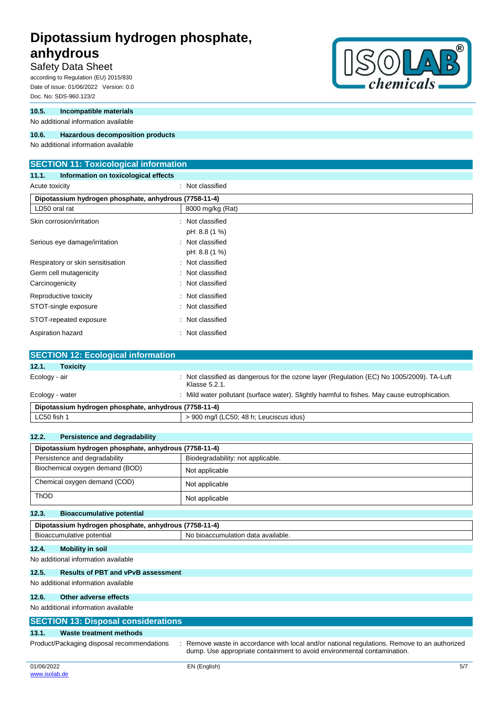# Safety Data Sheet

according to Regulation (EU) 2015/830 Date of issue: 01/06/2022 Version: 0.0 Doc. No: SDS-960.123/2

#### **10.5. Incompatible materials**

No additional information available

#### **10.6. Hazardous decomposition products**

No additional information available

### **SECTION 11: Toxicological information**

**11.1. Information on toxicological effects**

| Acute toxicity                                        | : Not classified |  |  |  |
|-------------------------------------------------------|------------------|--|--|--|
| Dipotassium hydrogen phosphate, anhydrous (7758-11-4) |                  |  |  |  |
| LD50 oral rat                                         | 8000 mg/kg (Rat) |  |  |  |
| Skin corrosion/irritation                             | : Not classified |  |  |  |
|                                                       | pH: 8.8 (1 %)    |  |  |  |
| Serious eye damage/irritation                         | : Not classified |  |  |  |
|                                                       | pH: 8.8 (1 %)    |  |  |  |
| Respiratory or skin sensitisation                     | : Not classified |  |  |  |
| Germ cell mutagenicity                                | : Not classified |  |  |  |
| Carcinogenicity                                       | : Not classified |  |  |  |
| Reproductive toxicity                                 | : Not classified |  |  |  |
| STOT-single exposure                                  | : Not classified |  |  |  |
| STOT-repeated exposure                                | : Not classified |  |  |  |
| Aspiration hazard                                     | : Not classified |  |  |  |

| <b>SECTION 12: Ecological information</b>             |                                                                                                            |
|-------------------------------------------------------|------------------------------------------------------------------------------------------------------------|
| <b>Toxicity</b><br>12.1.                              |                                                                                                            |
| Ecology - air                                         | : Not classified as dangerous for the ozone layer (Regulation (EC) No 1005/2009). TA-Luft<br>Klasse 5.2.1. |
| Ecology - water                                       | Mild water pollutant (surface water). Slightly harmful to fishes. May cause eutrophication.                |
| Dipotassium hydrogen phosphate, anhydrous (7758-11-4) |                                                                                                            |
| LC50 fish 1                                           | > 900 mg/l (LC50; 48 h; Leuciscus idus)                                                                    |

| 12.2.<br>Persistence and degradability                |                                    |  |  |  |
|-------------------------------------------------------|------------------------------------|--|--|--|
| Dipotassium hydrogen phosphate, anhydrous (7758-11-4) |                                    |  |  |  |
| Persistence and degradability                         | Biodegradability: not applicable.  |  |  |  |
| Biochemical oxygen demand (BOD)                       | Not applicable                     |  |  |  |
| Chemical oxygen demand (COD)                          | Not applicable                     |  |  |  |
| <b>ThOD</b>                                           | Not applicable                     |  |  |  |
| <b>Bioaccumulative potential</b><br>12.3.             |                                    |  |  |  |
| Dipotassium hydrogen phosphate, anhydrous (7758-11-4) |                                    |  |  |  |
| Bioaccumulative potential                             | No bioaccumulation data available. |  |  |  |
| <b>Mobility in soil</b><br>12.4.                      |                                    |  |  |  |
| No additional information available                   |                                    |  |  |  |
| <b>Results of PBT and vPvB assessment</b><br>12.5.    |                                    |  |  |  |
| No additional information available                   |                                    |  |  |  |
| Other adverse effects<br>12.6.                        |                                    |  |  |  |
| No additional information available                   |                                    |  |  |  |

## **SECTION 13: Disposal considerations 13.1. Waste treatment methods** Product/Packaging disposal recommendations : Remove waste in accordance with local and/or national regulations. Remove to an authorized dump. Use appropriate containment to avoid environmental contamination.

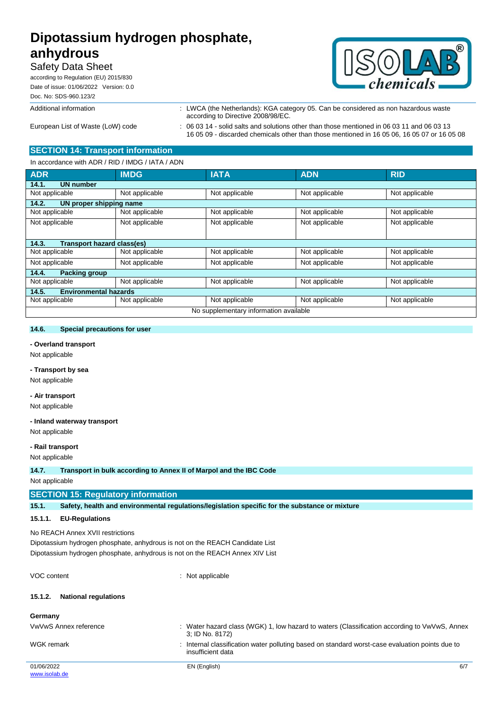# Safety Data Sheet

according to Regulation (EU) 2015/830 Date of issue: 01/06/2022 Version: 0.0 Doc. No: SDS-960.123/2

#### Additional information : LWCA (the Netherlands): KGA category 05. Can be considered as non hazardous waste



16 05 09 - discarded chemicals other than those mentioned in 16 05 06, 16 05 07 or 16 05 08

European List of Waste (LoW) code : 06 03 14 - solid salts and solutions other than those mentioned in 06 03 11 and 06 03 13

## **SECTION 14: Transport information**

accordance with ADR / RID / IMDG / IATA / ADN

| iii accoluatice Willi ADIN / IND / IMDO / IATA / ADIN |                |                |                |                |  |
|-------------------------------------------------------|----------------|----------------|----------------|----------------|--|
| <b>ADR</b>                                            | <b>IMDG</b>    | <b>IATA</b>    | <b>ADN</b>     | <b>RID</b>     |  |
| <b>UN number</b><br>14.1.                             |                |                |                |                |  |
| Not applicable                                        | Not applicable | Not applicable | Not applicable | Not applicable |  |
| 14.2.<br>UN proper shipping name                      |                |                |                |                |  |
| Not applicable                                        | Not applicable | Not applicable | Not applicable | Not applicable |  |
| Not applicable                                        | Not applicable | Not applicable | Not applicable | Not applicable |  |
|                                                       |                |                |                |                |  |
| 14.3.<br>Transport hazard class(es)                   |                |                |                |                |  |
| Not applicable                                        | Not applicable | Not applicable | Not applicable | Not applicable |  |
| Not applicable                                        | Not applicable | Not applicable | Not applicable | Not applicable |  |
| 14.4.<br><b>Packing group</b>                         |                |                |                |                |  |
| Not applicable                                        | Not applicable | Not applicable | Not applicable | Not applicable |  |
| 14.5.<br><b>Environmental hazards</b>                 |                |                |                |                |  |
| Not applicable                                        | Not applicable | Not applicable | Not applicable | Not applicable |  |
| No supplementary information available                |                |                |                |                |  |

according to Directive 2008/98/EC.

#### **14.6. Special precautions for user**

#### **- Overland transport**

Not applicable

#### **- Transport by sea**

Not applicable

## **- Air transport**

Not applicable

#### **- Inland waterway transport**

Not applicable

#### **- Rail transport**

Not applicable

**14.7. Transport in bulk according to Annex II of Marpol and the IBC Code**

Not applicable

#### **SECTION 15: Regulatory information**

**15.1. Safety, health and environmental regulations/legislation specific for the substance or mixture**

#### **15.1.1. EU-Regulations**

No REACH Annex XVII restrictions

Dipotassium hydrogen phosphate, anhydrous is not on the REACH Candidate List Dipotassium hydrogen phosphate, anhydrous is not on the REACH Annex XIV List

VOC content  $\qquad \qquad$  : Not applicable

#### **15.1.2. National regulations**

| Germany               |                                                                                                                    |     |
|-----------------------|--------------------------------------------------------------------------------------------------------------------|-----|
| VwVwS Annex reference | Water hazard class (WGK) 1, low hazard to waters (Classification according to VwVwS, Annex<br>3; ID No. 8172)      |     |
| WGK remark            | Internal classification water polluting based on standard worst-case evaluation points due to<br>insufficient data |     |
| 01/06/2022            | EN (English)                                                                                                       | 6/7 |
| www.isolab.de         |                                                                                                                    |     |